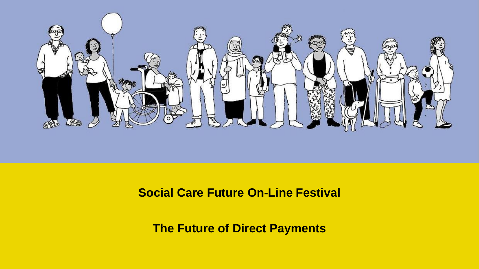

#### **Social Care Future On-Line Festival**

**The Future of Direct Payments**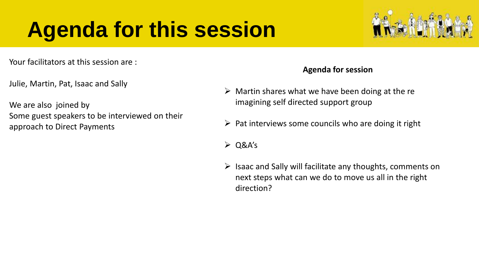#### **Agenda for this session**



Julie, Martin, Pat, Isaac and Sally

We are also joined by Some guest speakers to be interviewed on their approach to Direct Payments

#### **Agenda for session**

- $\triangleright$  Martin shares what we have been doing at the re imagining self directed support group
- $\triangleright$  Pat interviews some councils who are doing it right
- $\geq$  Q&A's
- $\triangleright$  Isaac and Sally will facilitate any thoughts, comments on next steps what can we do to move us all in the right direction?

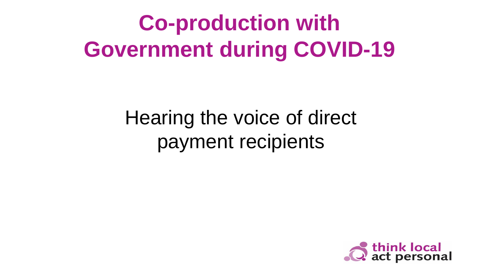# **Co-production with Government during COVID-19**

#### Hearing the voice of direct payment recipients

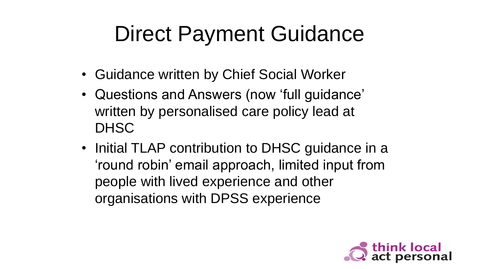## Direct Payment Guidance

- Guidance written by Chief Social Worker
- Questions and Answers (now 'full guidance' written by personalised care policy lead at **DHSC**
- Initial TLAP contribution to DHSC guidance in a 'round robin' email approach, limited input from people with lived experience and other organisations with DPSS experience

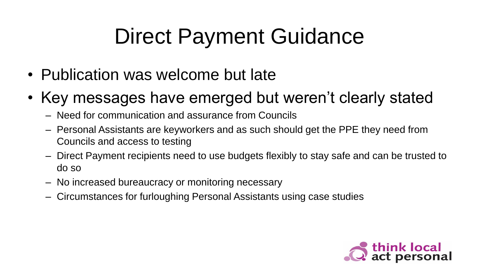## Direct Payment Guidance

- Publication was welcome but late
- Key messages have emerged but weren't clearly stated
	- Need for communication and assurance from Councils
	- Personal Assistants are keyworkers and as such should get the PPE they need from Councils and access to testing
	- Direct Payment recipients need to use budgets flexibly to stay safe and can be trusted to do so
	- No increased bureaucracy or monitoring necessary
	- Circumstances for furloughing Personal Assistants using case studies

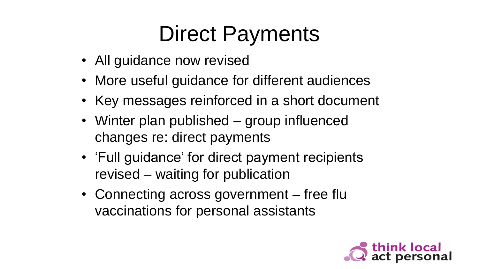## Direct Payments

- All guidance now revised
- More useful guidance for different audiences
- Key messages reinforced in a short document
- Winter plan published group influenced changes re: direct payments
- 'Full guidance' for direct payment recipients revised – waiting for publication
- Connecting across government free flu vaccinations for personal assistants

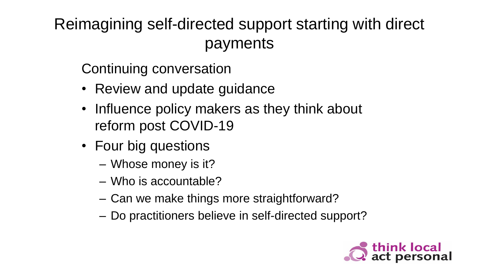Reimagining self-directed support starting with direct payments

Continuing conversation

- Review and update guidance
- Influence policy makers as they think about reform post COVID-19
- Four big questions
	- Whose money is it?
	- Who is accountable?
	- Can we make things more straightforward?
	- Do practitioners believe in self-directed support?

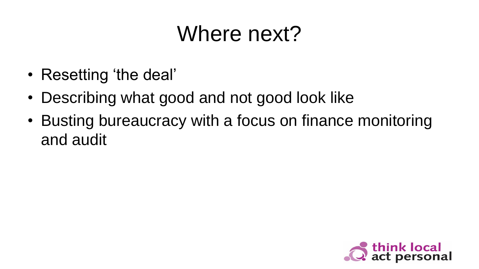## Where next?

- Resetting 'the deal'
- Describing what good and not good look like
- Busting bureaucracy with a focus on finance monitoring and audit

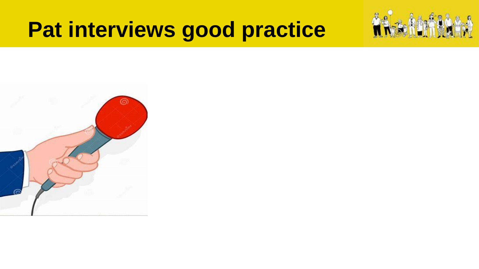#### **Pat interviews good practice**



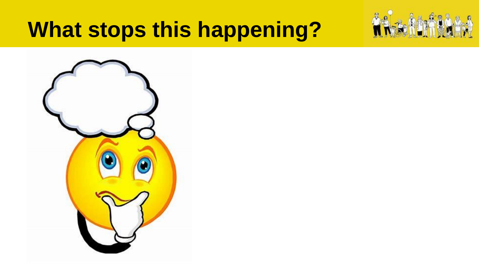#### **What stops this happening?**



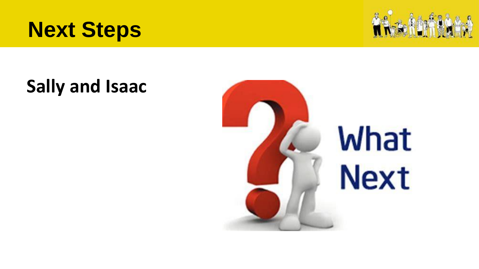





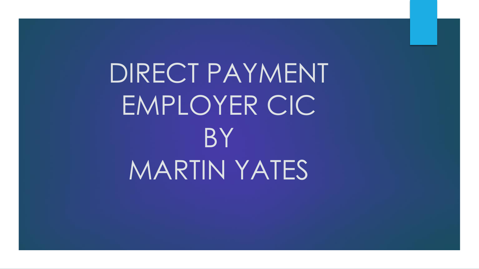DIRECT PAYMENT EMPLOYER CIC **BY** MARTIN YATES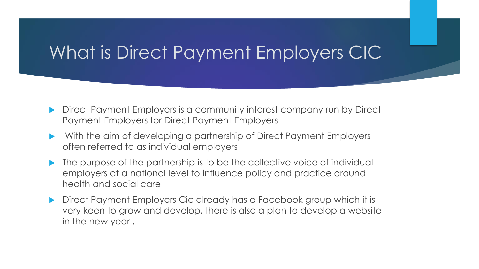#### What is Direct Payment Employers CIC

- Direct Payment Employers is a community interest company run by Direct Payment Employers for Direct Payment Employers
- With the aim of developing a partnership of Direct Payment Employers often referred to as individual employers
- The purpose of the partnership is to be the collective voice of individual employers at a national level to influence policy and practice around health and social care
- **Direct Payment Employers Cic already has a Facebook group which it is** very keen to grow and develop, there is also a plan to develop a website in the new year .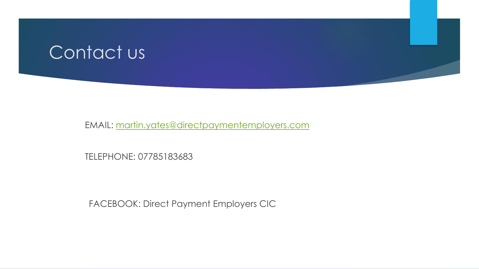#### Contact us

EMAIL: [martin.yates@directpaymentemployers.com](mailto:martin.yates@directpaymentemployers.com)

TELEPHONE: 07785183683

FACEBOOK: Direct Payment Employers CIC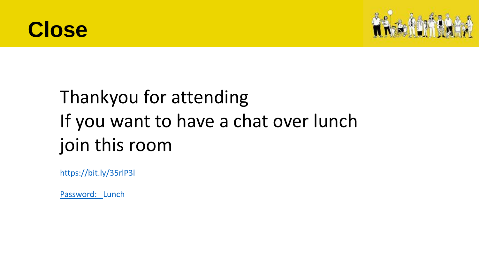



#### Thankyou for attending If you want to have a chat over lunch join this room

<https://bit.ly/35rlP3l>

Password: Lunch